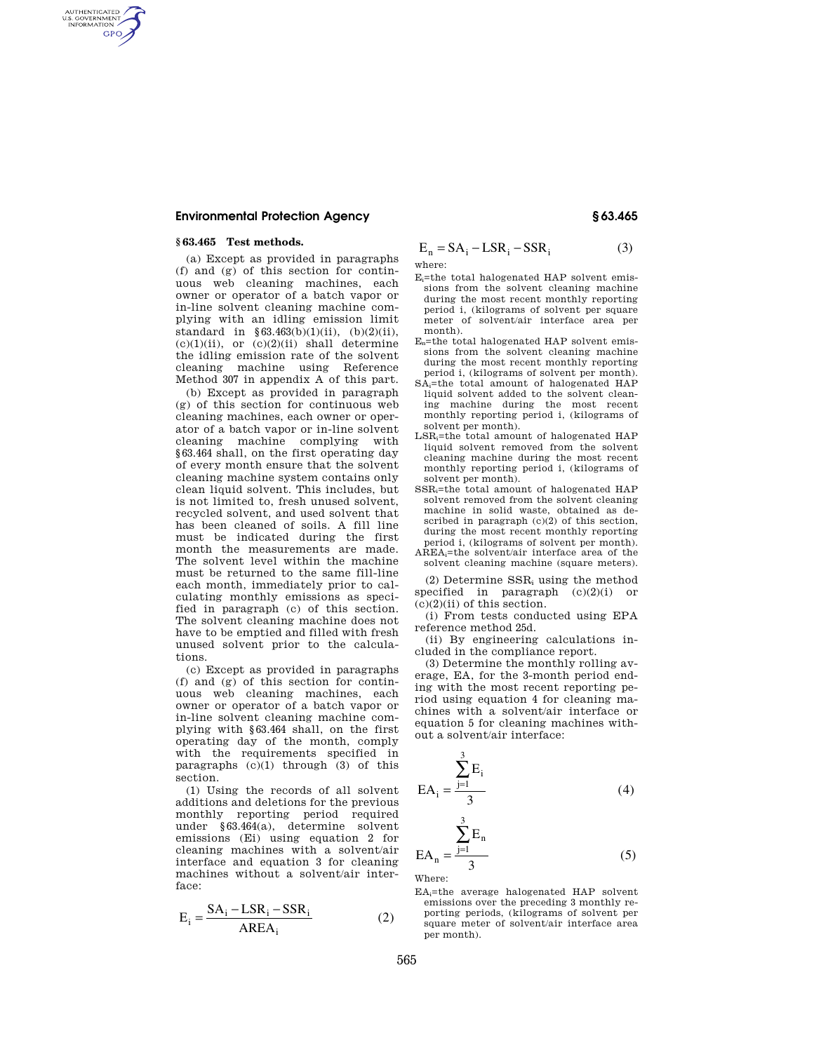## **Environmental Protection Agency § 63.465**

## **§ 63.465 Test methods.**

AUTHENTICATED<br>U.S. GOVERNMENT<br>INFORMATION GPO

> (a) Except as provided in paragraphs (f) and (g) of this section for continuous web cleaning machines, each owner or operator of a batch vapor or in-line solvent cleaning machine complying with an idling emission limit standard in  $§ 63.463(b)(1)(ii)$ , (b)(2)(ii),  $(c)(1)(ii)$ , or  $(c)(2)(ii)$  shall determine the idling emission rate of the solvent cleaning machine using Reference Method 307 in appendix A of this part.

> (b) Except as provided in paragraph (g) of this section for continuous web cleaning machines, each owner or operator of a batch vapor or in-line solvent cleaning machine complying with §63.464 shall, on the first operating day of every month ensure that the solvent cleaning machine system contains only clean liquid solvent. This includes, but is not limited to, fresh unused solvent, recycled solvent, and used solvent that has been cleaned of soils. A fill line must be indicated during the first month the measurements are made. The solvent level within the machine must be returned to the same fill-line each month, immediately prior to calculating monthly emissions as specified in paragraph (c) of this section. The solvent cleaning machine does not have to be emptied and filled with fresh unused solvent prior to the calculations.

> (c) Except as provided in paragraphs (f) and (g) of this section for continuous web cleaning machines, each owner or operator of a batch vapor or in-line solvent cleaning machine complying with §63.464 shall, on the first operating day of the month, comply with the requirements specified in paragraphs  $(c)(1)$  through  $(3)$  of this section.

> (1) Using the records of all solvent additions and deletions for the previous monthly reporting period required under §63.464(a), determine solvent emissions (Ei) using equation 2 for cleaning machines with a solvent/air interface and equation 3 for cleaning machines without a solvent/air interface:

$$
E_i = \frac{SA_i - LSR_i - SSR_i}{AREA_i}
$$
 (2)

$$
E_n = SA_i - LSR_i - SSR_i
$$
 (3)

- where:
- $E_i$ =the total halogenated HAP solvent emissions from the solvent cleaning machine during the most recent monthly reporting period i, (kilograms of solvent per square meter of solvent/air interface area per month).
- En=the total halogenated HAP solvent emissions from the solvent cleaning machine during the most recent monthly reporting period i, (kilograms of solvent per month).
- SAi=the total amount of halogenated HAP liquid solvent added to the solvent cleaning machine during the most recent monthly reporting period i, (kilograms of solvent per month).
- LSRi=the total amount of halogenated HAP liquid solvent removed from the solvent cleaning machine during the most recent monthly reporting period i, (kilograms of solvent per month).
- SSRi=the total amount of halogenated HAP solvent removed from the solvent cleaning machine in solid waste, obtained as described in paragraph (c)(2) of this section, during the most recent monthly reporting period i, (kilograms of solvent per month). AREAi=the solvent/air interface area of the
- solvent cleaning machine (square meters).

(2) Determine  $SSR_i$  using the method specified in paragraph (c)(2)(i) or  $(c)(2)(ii)$  of this section.

(i) From tests conducted using EPA reference method 25d.

(ii) By engineering calculations included in the compliance report.

(3) Determine the monthly rolling average, EA, for the 3-month period ending with the most recent reporting period using equation 4 for cleaning machines with a solvent/air interface or equation 5 for cleaning machines without a solvent/air interface:

$$
EA_{i} = \frac{\sum_{j=1}^{3} E_{i}}{3}
$$
 (4)

$$
EA_n = \frac{\sum_{j=1}^{n} E_n}{3}
$$
 (5)

Where:

3

EAi=the average halogenated HAP solvent emissions over the preceding 3 monthly reporting periods, (kilograms of solvent per square meter of solvent/air interface area per month).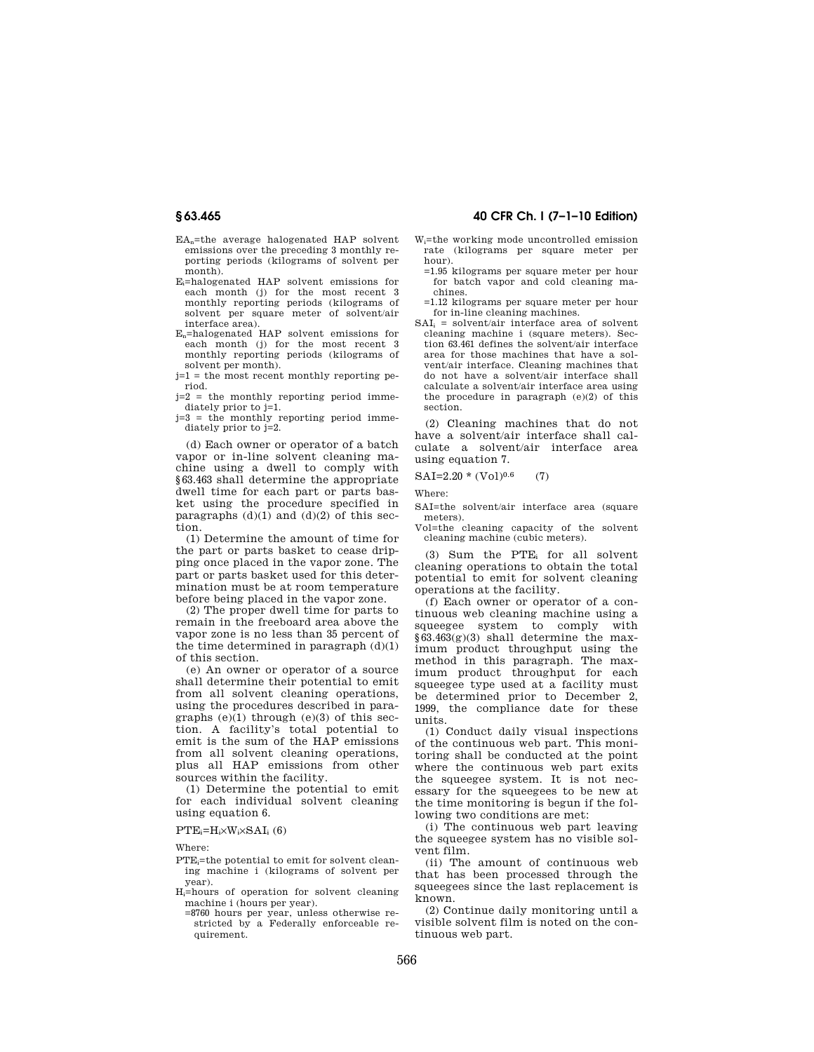- EA<sub>n</sub>=the average halogenated HAP solvent emissions over the preceding 3 monthly reporting periods (kilograms of solvent per month).
- Ei=halogenated HAP solvent emissions for each month (j) for the most recent 3 monthly reporting periods (kilograms of solvent per square meter of solvent/air interface area).
- En=halogenated HAP solvent emissions for each month (i) for the most recent 3 monthly reporting periods (kilograms of solvent per month).

 $j=1$  = the most recent monthly reporting period.

j=2 = the monthly reporting period immediately prior to j=1.

j=3 = the monthly reporting period immediately prior to j=2.

(d) Each owner or operator of a batch vapor or in-line solvent cleaning machine using a dwell to comply with §63.463 shall determine the appropriate dwell time for each part or parts basket using the procedure specified in paragraphs  $(d)(1)$  and  $(d)(2)$  of this section.

(1) Determine the amount of time for the part or parts basket to cease dripping once placed in the vapor zone. The part or parts basket used for this determination must be at room temperature before being placed in the vapor zone.

(2) The proper dwell time for parts to remain in the freeboard area above the vapor zone is no less than 35 percent of the time determined in paragraph  $(d)(1)$ of this section.

(e) An owner or operator of a source shall determine their potential to emit from all solvent cleaning operations, using the procedures described in paragraphs  $(e)(1)$  through  $(e)(3)$  of this section. A facility's total potential to emit is the sum of the HAP emissions from all solvent cleaning operations, plus all HAP emissions from other sources within the facility.

(1) Determine the potential to emit for each individual solvent cleaning using equation 6.

#### $PTE_i=H_i\times W_i\times SAI_i(6)$

Where:

- PTE=the potential to emit for solvent cleaning machine i (kilograms of solvent per year).
- Hi=hours of operation for solvent cleaning machine i (hours per year).
	- =8760 hours per year, unless otherwise restricted by a Federally enforceable requirement.

# **§ 63.465 40 CFR Ch. I (7–1–10 Edition)**

- Wi=the working mode uncontrolled emission rate (kilograms per square meter per hour).
	- =1.95 kilograms per square meter per hour for batch vapor and cold cleaning machines.
	- =1.12 kilograms per square meter per hour for in-line cleaning machines.
- $SAI_i = solvent/air$  interface area of solvent cleaning machine i (square meters). Section 63.461 defines the solvent/air interface area for those machines that have a solvent/air interface. Cleaning machines that do not have a solvent/air interface shall calculate a solvent/air interface area using the procedure in paragraph (e)(2) of this section.

(2) Cleaning machines that do not have a solvent/air interface shall calculate a solvent/air interface area using equation 7.

### $SAI=2.20*(Vol)^{0.6}$  (7)

Where:

- SAI=the solvent/air interface area (square meters).
- Vol=the cleaning capacity of the solvent cleaning machine (cubic meters).

(3) Sum the  $PTE_i$  for all solvent cleaning operations to obtain the total potential to emit for solvent cleaning operations at the facility.

(f) Each owner or operator of a continuous web cleaning machine using a squeegee system to comply with §63.463(g)(3) shall determine the maximum product throughput using the method in this paragraph. The maximum product throughput for each squeegee type used at a facility must be determined prior to December 2, 1999, the compliance date for these units.

(1) Conduct daily visual inspections of the continuous web part. This monitoring shall be conducted at the point where the continuous web part exits the squeegee system. It is not necessary for the squeegees to be new at the time monitoring is begun if the following two conditions are met:

(i) The continuous web part leaving the squeegee system has no visible solvent film.

(ii) The amount of continuous web that has been processed through the squeegees since the last replacement is known.

(2) Continue daily monitoring until a visible solvent film is noted on the continuous web part.